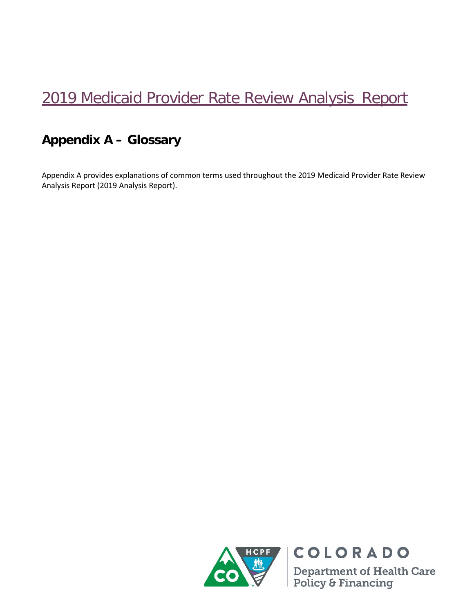## 2019 Medicaid Provider Rate Review Analysis Report

## **Appendix A – Glossary**

Appendix A provides explanations of common terms used throughout the 2019 Medicaid Provider Rate Review Analysis Report (2019 Analysis Report).



COLORADO **Department of Health Care<br>Policy & Financing**